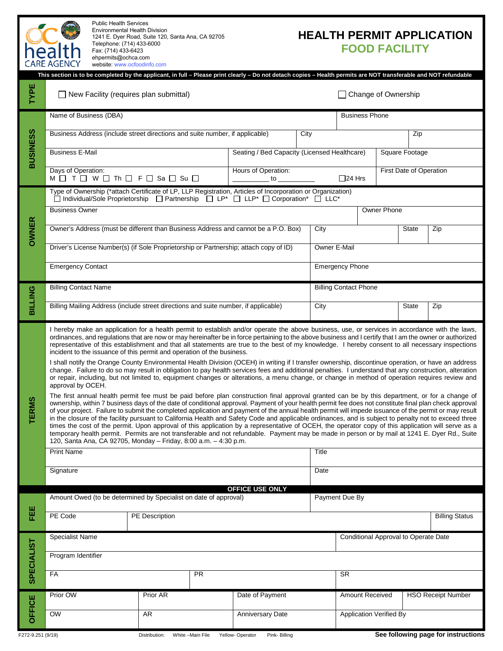| <b>Public Health Services</b><br><b>Environmental Health Division</b><br><b>HEALTH PERMIT APPLICATION</b><br>1241 E. Dyer Road, Suite 120, Santa Ana, CA 92705<br>Telephone: (714) 433-6000<br><b>FOOD FACILITY</b><br>health<br>Fax: (714) 433-6423<br>ehpermits@ochca.com<br><b>CARE AGENCY</b><br>website: www.ocfoodinfo.com |                                                                                                                                                                                                                                                                                                                                                                                                                                                                                                                                                                                                                                                                                                                                                                                                                                                                                                                                                                                                                                                                                                                                                                                                                                                                                                                                                                                                                                                                                                                                                                                                                                                                                                                                                                                                                                                                                                                                                                                                                                           |  |                                               |  |                                              |                                 |                                      |                                              |                         |     |  |
|----------------------------------------------------------------------------------------------------------------------------------------------------------------------------------------------------------------------------------------------------------------------------------------------------------------------------------|-------------------------------------------------------------------------------------------------------------------------------------------------------------------------------------------------------------------------------------------------------------------------------------------------------------------------------------------------------------------------------------------------------------------------------------------------------------------------------------------------------------------------------------------------------------------------------------------------------------------------------------------------------------------------------------------------------------------------------------------------------------------------------------------------------------------------------------------------------------------------------------------------------------------------------------------------------------------------------------------------------------------------------------------------------------------------------------------------------------------------------------------------------------------------------------------------------------------------------------------------------------------------------------------------------------------------------------------------------------------------------------------------------------------------------------------------------------------------------------------------------------------------------------------------------------------------------------------------------------------------------------------------------------------------------------------------------------------------------------------------------------------------------------------------------------------------------------------------------------------------------------------------------------------------------------------------------------------------------------------------------------------------------------------|--|-----------------------------------------------|--|----------------------------------------------|---------------------------------|--------------------------------------|----------------------------------------------|-------------------------|-----|--|
| This section is to be completed by the applicant, in full - Please print clearly - Do not detach copies - Health permits are NOT transferable and NOT refundable                                                                                                                                                                 |                                                                                                                                                                                                                                                                                                                                                                                                                                                                                                                                                                                                                                                                                                                                                                                                                                                                                                                                                                                                                                                                                                                                                                                                                                                                                                                                                                                                                                                                                                                                                                                                                                                                                                                                                                                                                                                                                                                                                                                                                                           |  |                                               |  |                                              |                                 |                                      |                                              |                         |     |  |
| TYPE                                                                                                                                                                                                                                                                                                                             |                                                                                                                                                                                                                                                                                                                                                                                                                                                                                                                                                                                                                                                                                                                                                                                                                                                                                                                                                                                                                                                                                                                                                                                                                                                                                                                                                                                                                                                                                                                                                                                                                                                                                                                                                                                                                                                                                                                                                                                                                                           |  | $\Box$ New Facility (requires plan submittal) |  |                                              |                                 | □ Change of Ownership                |                                              |                         |     |  |
|                                                                                                                                                                                                                                                                                                                                  | Name of Business (DBA)                                                                                                                                                                                                                                                                                                                                                                                                                                                                                                                                                                                                                                                                                                                                                                                                                                                                                                                                                                                                                                                                                                                                                                                                                                                                                                                                                                                                                                                                                                                                                                                                                                                                                                                                                                                                                                                                                                                                                                                                                    |  |                                               |  |                                              |                                 | <b>Business Phone</b>                |                                              |                         |     |  |
| <b>BUSINESS</b>                                                                                                                                                                                                                                                                                                                  | Business Address (include street directions and suite number, if applicable)<br>City                                                                                                                                                                                                                                                                                                                                                                                                                                                                                                                                                                                                                                                                                                                                                                                                                                                                                                                                                                                                                                                                                                                                                                                                                                                                                                                                                                                                                                                                                                                                                                                                                                                                                                                                                                                                                                                                                                                                                      |  |                                               |  |                                              |                                 | Zip                                  |                                              |                         |     |  |
|                                                                                                                                                                                                                                                                                                                                  | <b>Business E-Mail</b>                                                                                                                                                                                                                                                                                                                                                                                                                                                                                                                                                                                                                                                                                                                                                                                                                                                                                                                                                                                                                                                                                                                                                                                                                                                                                                                                                                                                                                                                                                                                                                                                                                                                                                                                                                                                                                                                                                                                                                                                                    |  |                                               |  | Seating / Bed Capacity (Licensed Healthcare) |                                 | Square Footage                       |                                              |                         |     |  |
| <b>OWNER</b>                                                                                                                                                                                                                                                                                                                     | Days of Operation:<br>M□ T□ W□ Th□ F□ Sa □ Su □                                                                                                                                                                                                                                                                                                                                                                                                                                                                                                                                                                                                                                                                                                                                                                                                                                                                                                                                                                                                                                                                                                                                                                                                                                                                                                                                                                                                                                                                                                                                                                                                                                                                                                                                                                                                                                                                                                                                                                                           |  |                                               |  | Hours of Operation:                          | $\square$ 24 Hrs<br>to $\qquad$ |                                      |                                              | First Date of Operation |     |  |
|                                                                                                                                                                                                                                                                                                                                  | Type of Ownership (*attach Certificate of LP, LLP Registration, Articles of Incorporation or Organization)<br>□ Individual/Sole Proprietorship □ Partnership □ LP* □ LLP* □ Corporation* □ LLC*                                                                                                                                                                                                                                                                                                                                                                                                                                                                                                                                                                                                                                                                                                                                                                                                                                                                                                                                                                                                                                                                                                                                                                                                                                                                                                                                                                                                                                                                                                                                                                                                                                                                                                                                                                                                                                           |  |                                               |  |                                              |                                 |                                      |                                              |                         |     |  |
|                                                                                                                                                                                                                                                                                                                                  | <b>Business Owner</b>                                                                                                                                                                                                                                                                                                                                                                                                                                                                                                                                                                                                                                                                                                                                                                                                                                                                                                                                                                                                                                                                                                                                                                                                                                                                                                                                                                                                                                                                                                                                                                                                                                                                                                                                                                                                                                                                                                                                                                                                                     |  |                                               |  |                                              |                                 | Owner Phone                          |                                              |                         |     |  |
|                                                                                                                                                                                                                                                                                                                                  | Owner's Address (must be different than Business Address and cannot be a P.O. Box)                                                                                                                                                                                                                                                                                                                                                                                                                                                                                                                                                                                                                                                                                                                                                                                                                                                                                                                                                                                                                                                                                                                                                                                                                                                                                                                                                                                                                                                                                                                                                                                                                                                                                                                                                                                                                                                                                                                                                        |  |                                               |  |                                              | City                            |                                      | <b>State</b><br>Zip                          |                         |     |  |
|                                                                                                                                                                                                                                                                                                                                  | Driver's License Number(s) (if Sole Proprietorship or Partnership; attach copy of ID)                                                                                                                                                                                                                                                                                                                                                                                                                                                                                                                                                                                                                                                                                                                                                                                                                                                                                                                                                                                                                                                                                                                                                                                                                                                                                                                                                                                                                                                                                                                                                                                                                                                                                                                                                                                                                                                                                                                                                     |  |                                               |  |                                              |                                 | Owner E-Mail                         |                                              |                         |     |  |
|                                                                                                                                                                                                                                                                                                                                  | <b>Emergency Contact</b>                                                                                                                                                                                                                                                                                                                                                                                                                                                                                                                                                                                                                                                                                                                                                                                                                                                                                                                                                                                                                                                                                                                                                                                                                                                                                                                                                                                                                                                                                                                                                                                                                                                                                                                                                                                                                                                                                                                                                                                                                  |  |                                               |  |                                              |                                 | <b>Emergency Phone</b>               |                                              |                         |     |  |
|                                                                                                                                                                                                                                                                                                                                  | <b>Billing Contact Name</b>                                                                                                                                                                                                                                                                                                                                                                                                                                                                                                                                                                                                                                                                                                                                                                                                                                                                                                                                                                                                                                                                                                                                                                                                                                                                                                                                                                                                                                                                                                                                                                                                                                                                                                                                                                                                                                                                                                                                                                                                               |  |                                               |  |                                              |                                 | <b>Billing Contact Phone</b>         |                                              |                         |     |  |
| <b>BILTING</b>                                                                                                                                                                                                                                                                                                                   | Billing Mailing Address (include street directions and suite number, if applicable)                                                                                                                                                                                                                                                                                                                                                                                                                                                                                                                                                                                                                                                                                                                                                                                                                                                                                                                                                                                                                                                                                                                                                                                                                                                                                                                                                                                                                                                                                                                                                                                                                                                                                                                                                                                                                                                                                                                                                       |  |                                               |  |                                              |                                 | City<br><b>State</b>                 |                                              |                         | Zip |  |
| <b>TERMS</b>                                                                                                                                                                                                                                                                                                                     | I hereby make an application for a health permit to establish and/or operate the above business, use, or services in accordance with the laws,<br>ordinances, and regulations that are now or may hereinafter be in force pertaining to the above business and I certify that I am the owner or authorized<br>representative of this establishment and that all statements are true to the best of my knowledge. I hereby consent to all necessary inspections<br>incident to the issuance of this permit and operation of the business.<br>I shall notify the Orange County Environmental Health Division (OCEH) in writing if I transfer ownership, discontinue operation, or have an address<br>change. Failure to do so may result in obligation to pay health services fees and additional penalties. I understand that any construction, alteration<br>or repair, including, but not limited to, equipment changes or alterations, a menu change, or change in method of operation requires review and<br>approval by OCEH.<br>The first annual health permit fee must be paid before plan construction final approval granted can be by this department, or for a change of<br>ownership, within 7 business days of the date of conditional approval. Payment of your health permit fee does not constitute final plan check approval<br>of your project. Failure to submit the completed application and payment of the annual health permit will impede issuance of the permit or may result<br>in the closure of the facility pursuant to California Health and Safety Code and applicable ordinances, and is subject to penalty not to exceed three<br>times the cost of the permit. Upon approval of this application by a representative of OCEH, the operator copy of this application will serve as a<br>temporary health permit. Permits are not transferable and not refundable. Payment may be made in person or by mail at 1241 E. Dyer Rd., Suite<br>120, Santa Ana, CA 92705, Monday - Friday, 8:00 a.m. - 4:30 p.m. |  |                                               |  |                                              |                                 |                                      |                                              |                         |     |  |
|                                                                                                                                                                                                                                                                                                                                  | <b>Print Name</b>                                                                                                                                                                                                                                                                                                                                                                                                                                                                                                                                                                                                                                                                                                                                                                                                                                                                                                                                                                                                                                                                                                                                                                                                                                                                                                                                                                                                                                                                                                                                                                                                                                                                                                                                                                                                                                                                                                                                                                                                                         |  |                                               |  |                                              |                                 | <b>Title</b>                         |                                              |                         |     |  |
|                                                                                                                                                                                                                                                                                                                                  | Signature                                                                                                                                                                                                                                                                                                                                                                                                                                                                                                                                                                                                                                                                                                                                                                                                                                                                                                                                                                                                                                                                                                                                                                                                                                                                                                                                                                                                                                                                                                                                                                                                                                                                                                                                                                                                                                                                                                                                                                                                                                 |  |                                               |  |                                              |                                 | Date                                 |                                              |                         |     |  |
|                                                                                                                                                                                                                                                                                                                                  | OFFICE USE ONLY<br>Amount Owed (to be determined by Specialist on date of approval)                                                                                                                                                                                                                                                                                                                                                                                                                                                                                                                                                                                                                                                                                                                                                                                                                                                                                                                                                                                                                                                                                                                                                                                                                                                                                                                                                                                                                                                                                                                                                                                                                                                                                                                                                                                                                                                                                                                                                       |  |                                               |  |                                              |                                 | Payment Due By                       |                                              |                         |     |  |
| 떒                                                                                                                                                                                                                                                                                                                                | PE Code<br>PE Description                                                                                                                                                                                                                                                                                                                                                                                                                                                                                                                                                                                                                                                                                                                                                                                                                                                                                                                                                                                                                                                                                                                                                                                                                                                                                                                                                                                                                                                                                                                                                                                                                                                                                                                                                                                                                                                                                                                                                                                                                 |  |                                               |  |                                              |                                 | <b>Billing Status</b>                |                                              |                         |     |  |
| <b>SPECIALIST</b>                                                                                                                                                                                                                                                                                                                | Specialist Name                                                                                                                                                                                                                                                                                                                                                                                                                                                                                                                                                                                                                                                                                                                                                                                                                                                                                                                                                                                                                                                                                                                                                                                                                                                                                                                                                                                                                                                                                                                                                                                                                                                                                                                                                                                                                                                                                                                                                                                                                           |  |                                               |  |                                              |                                 | Conditional Approval to Operate Date |                                              |                         |     |  |
|                                                                                                                                                                                                                                                                                                                                  | Program Identifier                                                                                                                                                                                                                                                                                                                                                                                                                                                                                                                                                                                                                                                                                                                                                                                                                                                                                                                                                                                                                                                                                                                                                                                                                                                                                                                                                                                                                                                                                                                                                                                                                                                                                                                                                                                                                                                                                                                                                                                                                        |  |                                               |  |                                              |                                 |                                      |                                              |                         |     |  |
|                                                                                                                                                                                                                                                                                                                                  | PR<br>FA                                                                                                                                                                                                                                                                                                                                                                                                                                                                                                                                                                                                                                                                                                                                                                                                                                                                                                                                                                                                                                                                                                                                                                                                                                                                                                                                                                                                                                                                                                                                                                                                                                                                                                                                                                                                                                                                                                                                                                                                                                  |  |                                               |  |                                              |                                 |                                      | <b>SR</b>                                    |                         |     |  |
|                                                                                                                                                                                                                                                                                                                                  | Prior OW<br>Prior AR                                                                                                                                                                                                                                                                                                                                                                                                                                                                                                                                                                                                                                                                                                                                                                                                                                                                                                                                                                                                                                                                                                                                                                                                                                                                                                                                                                                                                                                                                                                                                                                                                                                                                                                                                                                                                                                                                                                                                                                                                      |  |                                               |  | Date of Payment                              |                                 |                                      | Amount Received<br><b>HSO Receipt Number</b> |                         |     |  |
| OFFICE                                                                                                                                                                                                                                                                                                                           | <b>OW</b>                                                                                                                                                                                                                                                                                                                                                                                                                                                                                                                                                                                                                                                                                                                                                                                                                                                                                                                                                                                                                                                                                                                                                                                                                                                                                                                                                                                                                                                                                                                                                                                                                                                                                                                                                                                                                                                                                                                                                                                                                                 |  | AR                                            |  | Anniversary Date                             |                                 | <b>Application Verified By</b>       |                                              |                         |     |  |
| F272-9.251 (9/19)                                                                                                                                                                                                                                                                                                                | Distribution:<br>White -Main File<br>Yellow- Operator<br>Pink-Billing                                                                                                                                                                                                                                                                                                                                                                                                                                                                                                                                                                                                                                                                                                                                                                                                                                                                                                                                                                                                                                                                                                                                                                                                                                                                                                                                                                                                                                                                                                                                                                                                                                                                                                                                                                                                                                                                                                                                                                     |  |                                               |  |                                              |                                 | See following page for instructions  |                                              |                         |     |  |